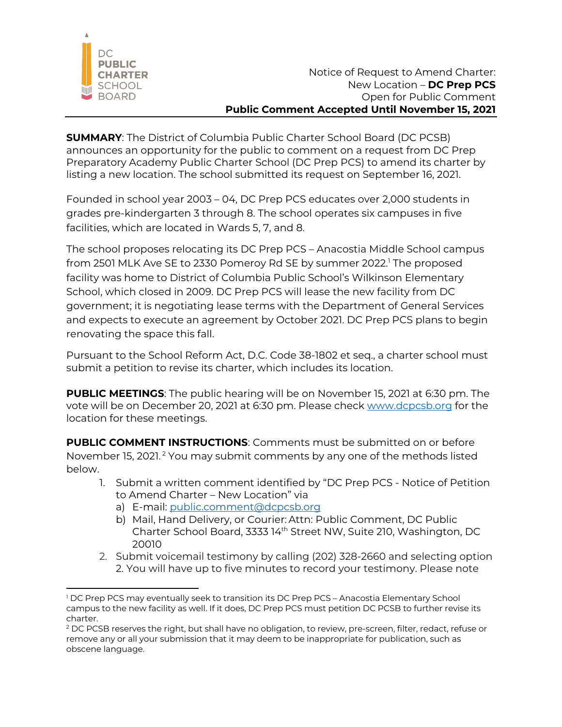

**SUMMARY**: The District of Columbia Public Charter School Board (DC PCSB) announces an opportunity for the public to comment on a request from DC Prep Preparatory Academy Public Charter School (DC Prep PCS) to amend its charter by listing a new location. The school submitted its request on September 16, 2021.

Founded in school year 2003 – 04, DC Prep PCS educates over 2,000 students in grades pre-kindergarten 3 through 8. The school operates six campuses in five facilities, which are located in Wards 5, 7, and 8.

The school proposes relocating its DC Prep PCS – Anacostia Middle School campus from 2501 MLK Ave SE to 2330 Pomeroy Rd SE by summer 2022. <sup>1</sup> The proposed facility was home to District of Columbia Public School's Wilkinson Elementary School, which closed in 2009. DC Prep PCS will lease the new facility from DC government; it is negotiating lease terms with the Department of General Services and expects to execute an agreement by October 2021. DC Prep PCS plans to begin renovating the space this fall.

Pursuant to the School Reform Act, D.C. Code 38-1802 et seq., a charter school must submit a petition to revise its charter, which includes its location.

**PUBLIC MEETINGS**: The public hearing will be on November 15, 2021 at 6:30 pm. The vote will be on December 20, 2021 at 6:30 pm. Please check www.dcpcsb.org for the location for these meetings.

**PUBLIC COMMENT INSTRUCTIONS**: Comments must be submitted on or before November 15, 2021. <sup>2</sup> You may submit comments by any one of the methods listed below.

- 1. Submit a written comment identified by "DC Prep PCS Notice of Petition to Amend Charter – New Location" via
	- a) E-mail: public.comment@dcpcsb.org
	- b) Mail, Hand Delivery, or Courier: Attn: Public Comment, DC Public Charter School Board, 3333 14th Street NW, Suite 210, Washington, DC 20010
- 2. Submit voicemail testimony by calling (202) 328-2660 and selecting option 2. You will have up to five minutes to record your testimony. Please note

<sup>&</sup>lt;sup>1</sup> DC Prep PCS may eventually seek to transition its DC Prep PCS – Anacostia Elementary School campus to the new facility as well. If it does, DC Prep PCS must petition DC PCSB to further revise its charter.

<sup>&</sup>lt;sup>2</sup> DC PCSB reserves the right, but shall have no obligation, to review, pre-screen, filter, redact, refuse or remove any or all your submission that it may deem to be inappropriate for publication, such as obscene language.